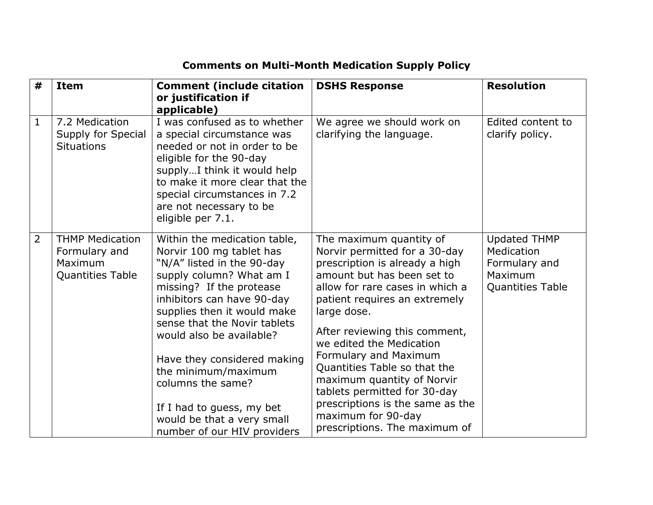## **Comments on Multi-Month Medication Supply Policy**

| #              | <b>Item</b>                                                                   | <b>Comment (include citation</b><br>or justification if<br>applicable)                                                                                                                                                                                                                                                                                                                                                                       | <b>DSHS Response</b>                                                                                                                                                                                                                                                                                                                                                                                                                                                                       | <b>Resolution</b>                                                                        |
|----------------|-------------------------------------------------------------------------------|----------------------------------------------------------------------------------------------------------------------------------------------------------------------------------------------------------------------------------------------------------------------------------------------------------------------------------------------------------------------------------------------------------------------------------------------|--------------------------------------------------------------------------------------------------------------------------------------------------------------------------------------------------------------------------------------------------------------------------------------------------------------------------------------------------------------------------------------------------------------------------------------------------------------------------------------------|------------------------------------------------------------------------------------------|
| $\mathbf{1}$   | 7.2 Medication<br>Supply for Special<br><b>Situations</b>                     | I was confused as to whether<br>a special circumstance was<br>needed or not in order to be<br>eligible for the 90-day<br>supplyI think it would help<br>to make it more clear that the<br>special circumstances in 7.2<br>are not necessary to be<br>eligible per 7.1.                                                                                                                                                                       | We agree we should work on<br>clarifying the language.                                                                                                                                                                                                                                                                                                                                                                                                                                     | Edited content to<br>clarify policy.                                                     |
| $\overline{2}$ | <b>THMP Medication</b><br>Formulary and<br>Maximum<br><b>Quantities Table</b> | Within the medication table,<br>Norvir 100 mg tablet has<br>"N/A" listed in the 90-day<br>supply column? What am I<br>missing? If the protease<br>inhibitors can have 90-day<br>supplies then it would make<br>sense that the Novir tablets<br>would also be available?<br>Have they considered making<br>the minimum/maximum<br>columns the same?<br>If I had to guess, my bet<br>would be that a very small<br>number of our HIV providers | The maximum quantity of<br>Norvir permitted for a 30-day<br>prescription is already a high<br>amount but has been set to<br>allow for rare cases in which a<br>patient requires an extremely<br>large dose.<br>After reviewing this comment,<br>we edited the Medication<br>Formulary and Maximum<br>Quantities Table so that the<br>maximum quantity of Norvir<br>tablets permitted for 30-day<br>prescriptions is the same as the<br>maximum for 90-day<br>prescriptions. The maximum of | <b>Updated THMP</b><br>Medication<br>Formulary and<br>Maximum<br><b>Quantities Table</b> |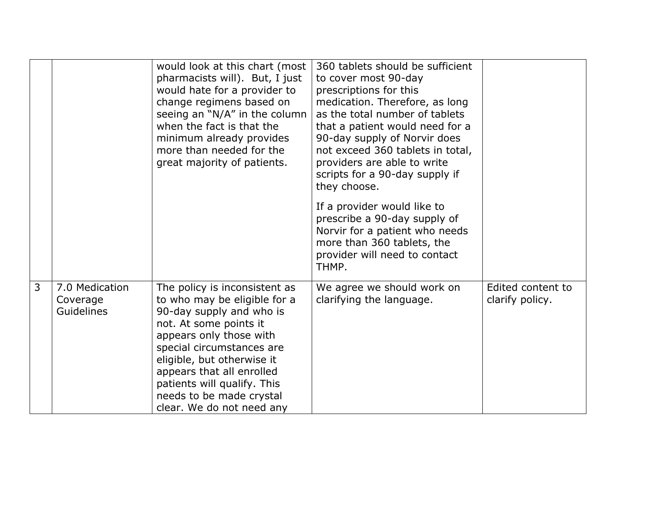|   |                                                 | would look at this chart (most<br>pharmacists will). But, I just<br>would hate for a provider to<br>change regimens based on<br>seeing an "N/A" in the column<br>when the fact is that the<br>minimum already provides<br>more than needed for the<br>great majority of patients.                                              | 360 tablets should be sufficient<br>to cover most 90-day<br>prescriptions for this<br>medication. Therefore, as long<br>as the total number of tablets<br>that a patient would need for a<br>90-day supply of Norvir does<br>not exceed 360 tablets in total,<br>providers are able to write<br>scripts for a 90-day supply if<br>they choose.<br>If a provider would like to<br>prescribe a 90-day supply of<br>Norvir for a patient who needs<br>more than 360 tablets, the<br>provider will need to contact<br>THMP. |                                      |
|---|-------------------------------------------------|--------------------------------------------------------------------------------------------------------------------------------------------------------------------------------------------------------------------------------------------------------------------------------------------------------------------------------|-------------------------------------------------------------------------------------------------------------------------------------------------------------------------------------------------------------------------------------------------------------------------------------------------------------------------------------------------------------------------------------------------------------------------------------------------------------------------------------------------------------------------|--------------------------------------|
| 3 | 7.0 Medication<br>Coverage<br><b>Guidelines</b> | The policy is inconsistent as<br>to who may be eligible for a<br>90-day supply and who is<br>not. At some points it<br>appears only those with<br>special circumstances are<br>eligible, but otherwise it<br>appears that all enrolled<br>patients will qualify. This<br>needs to be made crystal<br>clear. We do not need any | We agree we should work on<br>clarifying the language.                                                                                                                                                                                                                                                                                                                                                                                                                                                                  | Edited content to<br>clarify policy. |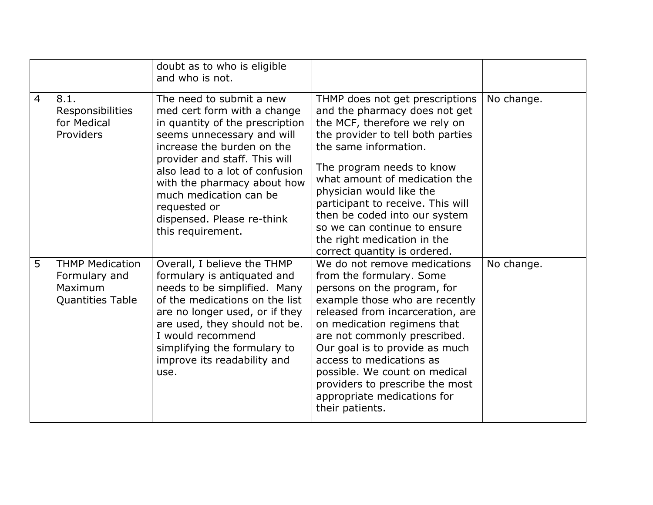|                |                                                                               | doubt as to who is eligible<br>and who is not.                                                                                                                                                                                                                                                                                                         |                                                                                                                                                                                                                                                                                                                                                                                                                                |            |
|----------------|-------------------------------------------------------------------------------|--------------------------------------------------------------------------------------------------------------------------------------------------------------------------------------------------------------------------------------------------------------------------------------------------------------------------------------------------------|--------------------------------------------------------------------------------------------------------------------------------------------------------------------------------------------------------------------------------------------------------------------------------------------------------------------------------------------------------------------------------------------------------------------------------|------------|
| $\overline{4}$ | 8.1.<br>Responsibilities<br>for Medical<br>Providers                          | The need to submit a new<br>med cert form with a change<br>in quantity of the prescription<br>seems unnecessary and will<br>increase the burden on the<br>provider and staff. This will<br>also lead to a lot of confusion<br>with the pharmacy about how<br>much medication can be<br>requested or<br>dispensed. Please re-think<br>this requirement. | THMP does not get prescriptions<br>and the pharmacy does not get<br>the MCF, therefore we rely on<br>the provider to tell both parties<br>the same information.<br>The program needs to know<br>what amount of medication the<br>physician would like the<br>participant to receive. This will<br>then be coded into our system<br>so we can continue to ensure<br>the right medication in the<br>correct quantity is ordered. | No change. |
| 5              | <b>THMP Medication</b><br>Formulary and<br>Maximum<br><b>Quantities Table</b> | Overall, I believe the THMP<br>formulary is antiquated and<br>needs to be simplified. Many<br>of the medications on the list<br>are no longer used, or if they<br>are used, they should not be.<br>I would recommend<br>simplifying the formulary to<br>improve its readability and<br>use.                                                            | We do not remove medications<br>from the formulary. Some<br>persons on the program, for<br>example those who are recently<br>released from incarceration, are<br>on medication regimens that<br>are not commonly prescribed.<br>Our goal is to provide as much<br>access to medications as<br>possible. We count on medical<br>providers to prescribe the most<br>appropriate medications for<br>their patients.               | No change. |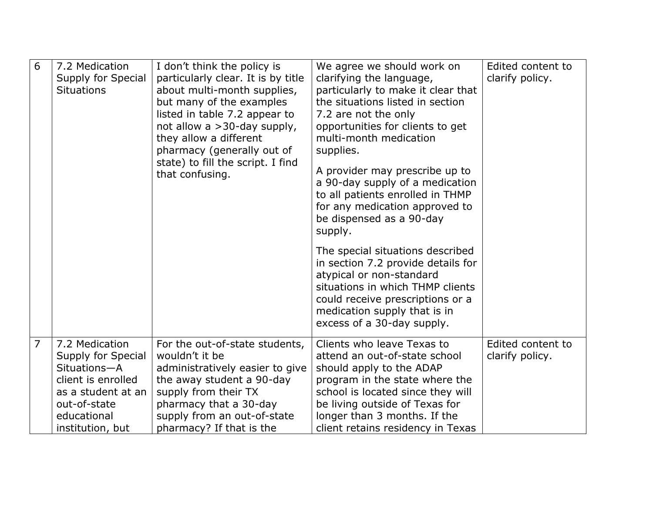| 6              | 7.2 Medication<br>Supply for Special<br><b>Situations</b>                                                                                           | I don't think the policy is<br>particularly clear. It is by title<br>about multi-month supplies,<br>but many of the examples<br>listed in table 7.2 appear to<br>not allow a >30-day supply,<br>they allow a different<br>pharmacy (generally out of<br>state) to fill the script. I find<br>that confusing. | We agree we should work on<br>clarifying the language,<br>particularly to make it clear that<br>the situations listed in section<br>7.2 are not the only<br>opportunities for clients to get<br>multi-month medication<br>supplies.<br>A provider may prescribe up to<br>a 90-day supply of a medication<br>to all patients enrolled in THMP<br>for any medication approved to<br>be dispensed as a 90-day<br>supply.<br>The special situations described<br>in section 7.2 provide details for<br>atypical or non-standard<br>situations in which THMP clients<br>could receive prescriptions or a<br>medication supply that is in<br>excess of a 30-day supply. | Edited content to<br>clarify policy. |
|----------------|-----------------------------------------------------------------------------------------------------------------------------------------------------|--------------------------------------------------------------------------------------------------------------------------------------------------------------------------------------------------------------------------------------------------------------------------------------------------------------|-------------------------------------------------------------------------------------------------------------------------------------------------------------------------------------------------------------------------------------------------------------------------------------------------------------------------------------------------------------------------------------------------------------------------------------------------------------------------------------------------------------------------------------------------------------------------------------------------------------------------------------------------------------------|--------------------------------------|
| $\overline{7}$ | 7.2 Medication<br>Supply for Special<br>Situations-A<br>client is enrolled<br>as a student at an<br>out-of-state<br>educational<br>institution, but | For the out-of-state students,<br>wouldn't it be<br>administratively easier to give<br>the away student a 90-day<br>supply from their TX<br>pharmacy that a 30-day<br>supply from an out-of-state<br>pharmacy? If that is the                                                                                | Clients who leave Texas to<br>attend an out-of-state school<br>should apply to the ADAP<br>program in the state where the<br>school is located since they will<br>be living outside of Texas for<br>longer than 3 months. If the<br>client retains residency in Texas                                                                                                                                                                                                                                                                                                                                                                                             | Edited content to<br>clarify policy. |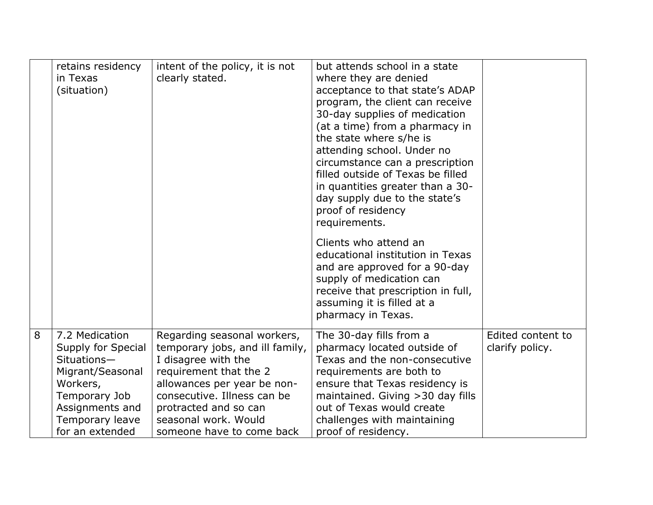|   | retains residency<br>in Texas<br>(situation)                                                                                                                  | intent of the policy, it is not<br>clearly stated.                                                                                                                                                                                                          | but attends school in a state<br>where they are denied<br>acceptance to that state's ADAP<br>program, the client can receive<br>30-day supplies of medication<br>(at a time) from a pharmacy in<br>the state where s/he is<br>attending school. Under no<br>circumstance can a prescription<br>filled outside of Texas be filled<br>in quantities greater than a 30-<br>day supply due to the state's<br>proof of residency<br>requirements. |                                      |
|---|---------------------------------------------------------------------------------------------------------------------------------------------------------------|-------------------------------------------------------------------------------------------------------------------------------------------------------------------------------------------------------------------------------------------------------------|----------------------------------------------------------------------------------------------------------------------------------------------------------------------------------------------------------------------------------------------------------------------------------------------------------------------------------------------------------------------------------------------------------------------------------------------|--------------------------------------|
|   |                                                                                                                                                               |                                                                                                                                                                                                                                                             | Clients who attend an<br>educational institution in Texas<br>and are approved for a 90-day<br>supply of medication can<br>receive that prescription in full,<br>assuming it is filled at a<br>pharmacy in Texas.                                                                                                                                                                                                                             |                                      |
| 8 | 7.2 Medication<br>Supply for Special<br>Situations-<br>Migrant/Seasonal<br>Workers,<br>Temporary Job<br>Assignments and<br>Temporary leave<br>for an extended | Regarding seasonal workers,<br>temporary jobs, and ill family,<br>I disagree with the<br>requirement that the 2<br>allowances per year be non-<br>consecutive. Illness can be<br>protracted and so can<br>seasonal work. Would<br>someone have to come back | The 30-day fills from a<br>pharmacy located outside of<br>Texas and the non-consecutive<br>requirements are both to<br>ensure that Texas residency is<br>maintained. Giving > 30 day fills<br>out of Texas would create<br>challenges with maintaining<br>proof of residency.                                                                                                                                                                | Edited content to<br>clarify policy. |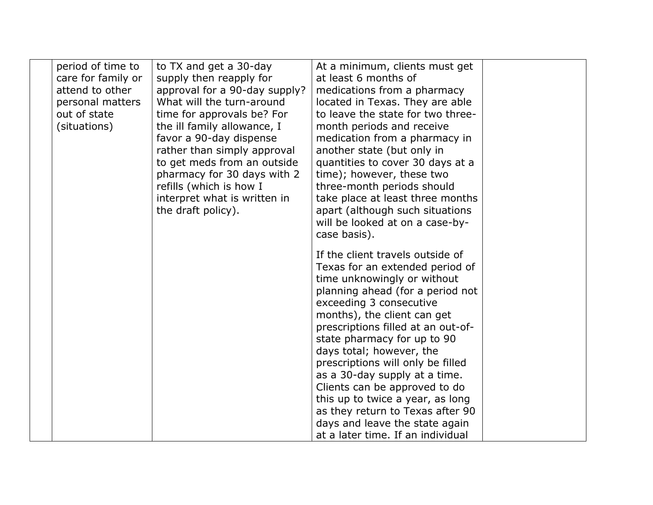| period of time to  | to TX and get a 30-day        | At a minimum, clients must get     |  |
|--------------------|-------------------------------|------------------------------------|--|
| care for family or | supply then reapply for       | at least 6 months of               |  |
| attend to other    | approval for a 90-day supply? | medications from a pharmacy        |  |
| personal matters   | What will the turn-around     | located in Texas. They are able    |  |
| out of state       | time for approvals be? For    | to leave the state for two three-  |  |
| (situations)       | the ill family allowance, I   | month periods and receive          |  |
|                    | favor a 90-day dispense       | medication from a pharmacy in      |  |
|                    | rather than simply approval   | another state (but only in         |  |
|                    | to get meds from an outside   | quantities to cover 30 days at a   |  |
|                    | pharmacy for 30 days with 2   | time); however, these two          |  |
|                    | refills (which is how I       | three-month periods should         |  |
|                    | interpret what is written in  | take place at least three months   |  |
|                    | the draft policy).            | apart (although such situations    |  |
|                    |                               | will be looked at on a case-by-    |  |
|                    |                               | case basis).                       |  |
|                    |                               | If the client travels outside of   |  |
|                    |                               | Texas for an extended period of    |  |
|                    |                               | time unknowingly or without        |  |
|                    |                               | planning ahead (for a period not   |  |
|                    |                               | exceeding 3 consecutive            |  |
|                    |                               | months), the client can get        |  |
|                    |                               | prescriptions filled at an out-of- |  |
|                    |                               | state pharmacy for up to 90        |  |
|                    |                               | days total; however, the           |  |
|                    |                               | prescriptions will only be filled  |  |
|                    |                               | as a 30-day supply at a time.      |  |
|                    |                               | Clients can be approved to do      |  |
|                    |                               | this up to twice a year, as long   |  |
|                    |                               | as they return to Texas after 90   |  |
|                    |                               | days and leave the state again     |  |
|                    |                               | at a later time. If an individual  |  |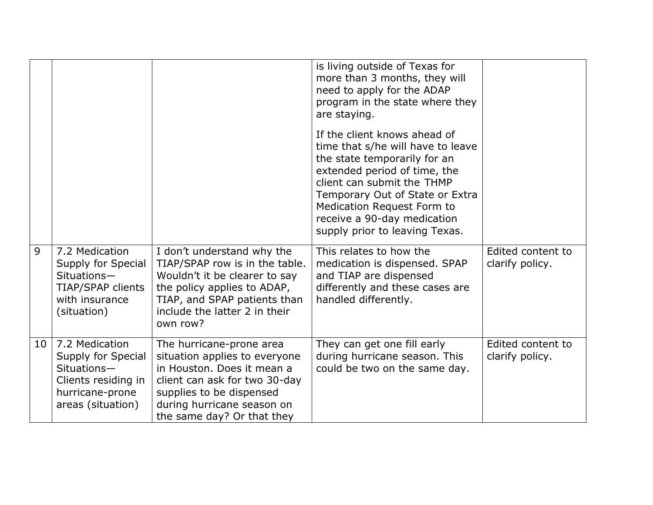|    |                                                                                                                    |                                                                                                                                                                                                                  | is living outside of Texas for<br>more than 3 months, they will<br>need to apply for the ADAP<br>program in the state where they<br>are staying.                                                                                                                                                  |                                      |
|----|--------------------------------------------------------------------------------------------------------------------|------------------------------------------------------------------------------------------------------------------------------------------------------------------------------------------------------------------|---------------------------------------------------------------------------------------------------------------------------------------------------------------------------------------------------------------------------------------------------------------------------------------------------|--------------------------------------|
|    |                                                                                                                    |                                                                                                                                                                                                                  | If the client knows ahead of<br>time that s/he will have to leave<br>the state temporarily for an<br>extended period of time, the<br>client can submit the THMP<br>Temporary Out of State or Extra<br>Medication Request Form to<br>receive a 90-day medication<br>supply prior to leaving Texas. |                                      |
| 9  | 7.2 Medication<br>Supply for Special<br>Situations-<br>TIAP/SPAP clients<br>with insurance<br>(situation)          | I don't understand why the<br>TIAP/SPAP row is in the table.<br>Wouldn't it be clearer to say<br>the policy applies to ADAP,<br>TIAP, and SPAP patients than<br>include the latter 2 in their<br>own row?        | This relates to how the<br>medication is dispensed. SPAP<br>and TIAP are dispensed<br>differently and these cases are<br>handled differently.                                                                                                                                                     | Edited content to<br>clarify policy. |
| 10 | 7.2 Medication<br>Supply for Special<br>Situations-<br>Clients residing in<br>hurricane-prone<br>areas (situation) | The hurricane-prone area<br>situation applies to everyone<br>in Houston. Does it mean a<br>client can ask for two 30-day<br>supplies to be dispensed<br>during hurricane season on<br>the same day? Or that they | They can get one fill early<br>during hurricane season. This<br>could be two on the same day.                                                                                                                                                                                                     | Edited content to<br>clarify policy. |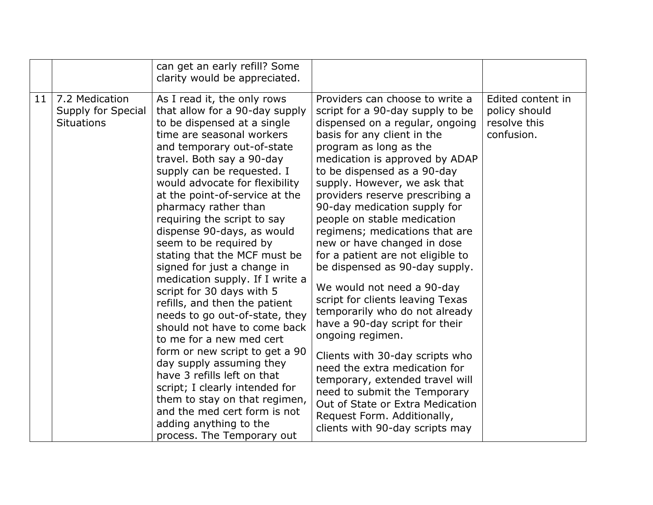|                 |                                                           | can get an early refill? Some<br>clarity would be appreciated.                                                                                                                                                                                                                                                                                                                                                                                                                                                                                                                                                                                                                                                                                                                                                                                                                                                              |                                                                                                                                                                                                                                                                                                                                                                                                                                                                                                                                                                                                                                                                                                                                                                                                                                                                                                                   |                                                                  |
|-----------------|-----------------------------------------------------------|-----------------------------------------------------------------------------------------------------------------------------------------------------------------------------------------------------------------------------------------------------------------------------------------------------------------------------------------------------------------------------------------------------------------------------------------------------------------------------------------------------------------------------------------------------------------------------------------------------------------------------------------------------------------------------------------------------------------------------------------------------------------------------------------------------------------------------------------------------------------------------------------------------------------------------|-------------------------------------------------------------------------------------------------------------------------------------------------------------------------------------------------------------------------------------------------------------------------------------------------------------------------------------------------------------------------------------------------------------------------------------------------------------------------------------------------------------------------------------------------------------------------------------------------------------------------------------------------------------------------------------------------------------------------------------------------------------------------------------------------------------------------------------------------------------------------------------------------------------------|------------------------------------------------------------------|
| 11 <sub>1</sub> | 7.2 Medication<br>Supply for Special<br><b>Situations</b> | As I read it, the only rows<br>that allow for a 90-day supply<br>to be dispensed at a single<br>time are seasonal workers<br>and temporary out-of-state<br>travel. Both say a 90-day<br>supply can be requested. I<br>would advocate for flexibility<br>at the point-of-service at the<br>pharmacy rather than<br>requiring the script to say<br>dispense 90-days, as would<br>seem to be required by<br>stating that the MCF must be<br>signed for just a change in<br>medication supply. If I write a<br>script for 30 days with 5<br>refills, and then the patient<br>needs to go out-of-state, they<br>should not have to come back<br>to me for a new med cert<br>form or new script to get a 90<br>day supply assuming they<br>have 3 refills left on that<br>script; I clearly intended for<br>them to stay on that regimen,<br>and the med cert form is not<br>adding anything to the<br>process. The Temporary out | Providers can choose to write a<br>script for a 90-day supply to be<br>dispensed on a regular, ongoing<br>basis for any client in the<br>program as long as the<br>medication is approved by ADAP<br>to be dispensed as a 90-day<br>supply. However, we ask that<br>providers reserve prescribing a<br>90-day medication supply for<br>people on stable medication<br>regimens; medications that are<br>new or have changed in dose<br>for a patient are not eligible to<br>be dispensed as 90-day supply.<br>We would not need a 90-day<br>script for clients leaving Texas<br>temporarily who do not already<br>have a 90-day script for their<br>ongoing regimen.<br>Clients with 30-day scripts who<br>need the extra medication for<br>temporary, extended travel will<br>need to submit the Temporary<br>Out of State or Extra Medication<br>Request Form. Additionally,<br>clients with 90-day scripts may | Edited content in<br>policy should<br>resolve this<br>confusion. |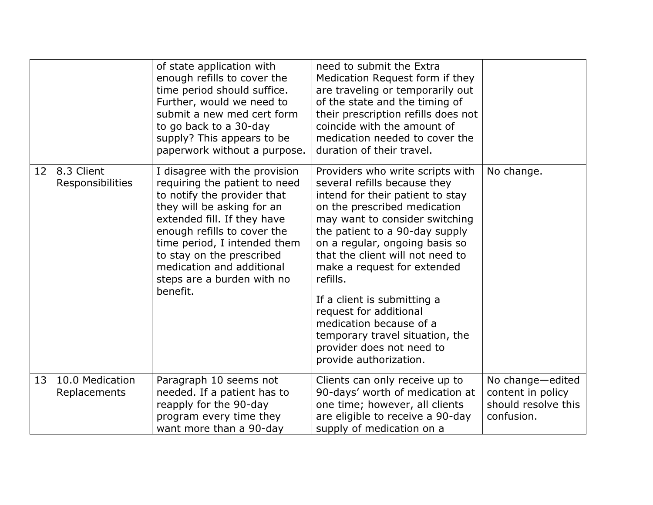|    |                                 | of state application with<br>enough refills to cover the<br>time period should suffice.<br>Further, would we need to<br>submit a new med cert form<br>to go back to a 30-day<br>supply? This appears to be<br>paperwork without a purpose.                                                                                    | need to submit the Extra<br>Medication Request form if they<br>are traveling or temporarily out<br>of the state and the timing of<br>their prescription refills does not<br>coincide with the amount of<br>medication needed to cover the<br>duration of their travel.                                                                                                                                                                                                                                  |                                                                            |
|----|---------------------------------|-------------------------------------------------------------------------------------------------------------------------------------------------------------------------------------------------------------------------------------------------------------------------------------------------------------------------------|---------------------------------------------------------------------------------------------------------------------------------------------------------------------------------------------------------------------------------------------------------------------------------------------------------------------------------------------------------------------------------------------------------------------------------------------------------------------------------------------------------|----------------------------------------------------------------------------|
| 12 | 8.3 Client<br>Responsibilities  | I disagree with the provision<br>requiring the patient to need<br>to notify the provider that<br>they will be asking for an<br>extended fill. If they have<br>enough refills to cover the<br>time period, I intended them<br>to stay on the prescribed<br>medication and additional<br>steps are a burden with no<br>benefit. | Providers who write scripts with<br>several refills because they<br>intend for their patient to stay<br>on the prescribed medication<br>may want to consider switching<br>the patient to a 90-day supply<br>on a regular, ongoing basis so<br>that the client will not need to<br>make a request for extended<br>refills.<br>If a client is submitting a<br>request for additional<br>medication because of a<br>temporary travel situation, the<br>provider does not need to<br>provide authorization. | No change.                                                                 |
| 13 | 10.0 Medication<br>Replacements | Paragraph 10 seems not<br>needed. If a patient has to<br>reapply for the 90-day<br>program every time they<br>want more than a 90-day                                                                                                                                                                                         | Clients can only receive up to<br>90-days' worth of medication at<br>one time; however, all clients<br>are eligible to receive a 90-day<br>supply of medication on a                                                                                                                                                                                                                                                                                                                                    | No change-edited<br>content in policy<br>should resolve this<br>confusion. |